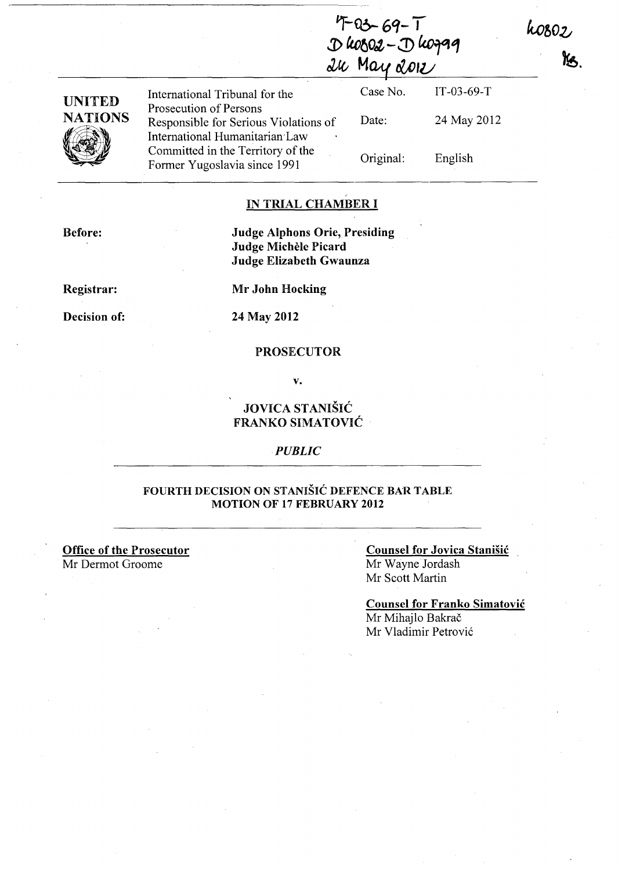$4-69-7$ **j) ttofjOtt** - J) lc.o~1 ~cv **MClAf** *ctDIU* 

IT-03-69-T

h0802,

Ys.

24 May 2012

English

| <b>UNITED</b>  | International Tribunal for the<br>Prosecution of Persons                | Case No.  |
|----------------|-------------------------------------------------------------------------|-----------|
| <b>NATIONS</b> | Responsible for Serious Violations of<br>International Humanitarian Law | Date:     |
|                | Committed in the Territory of the<br>Former Yugoslavia since 1991       | Original: |

### IN TRIAL CHAMBER I

Judge Alphons Orie, Presiding Judge Michele Picard Judge Elizabeth Gwaunza

Registrar:

Before:

Decision of:

Mr John Hocking

24 May 2012

### PROSECUTOR

v.

JOVICA STANISIC FRANKO SIMATOVIC

#### *PUBLIC*

### FOURTH DECISION ON STANISIC DEFENCE BAR TABLE MOTION OF 17 FEBRUARY 2012

Office of the Prosecutor

Mr Dermot Groome

Counsel for Jovica Stanisic Mr Wayne Jordash Mr Scott Martin

Counsel for Franko Simatovic Mr Mihajlo Bakrač Mr Vladimir Petrovic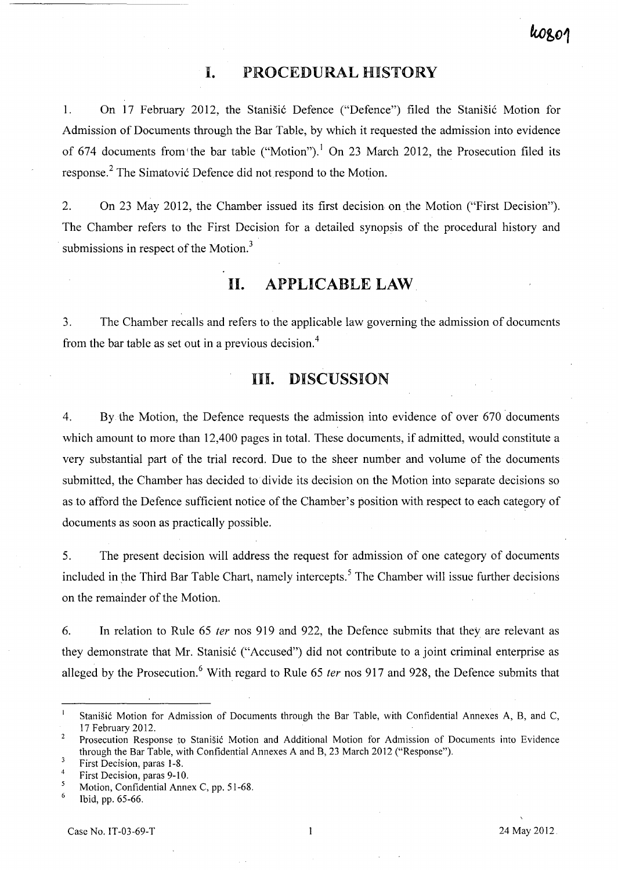## **I. PROCEDURAL HISTORY**

1. On 17 February 2012, the Stanišić Defence ("Defence") filed the Stanišić Motion for Admission of Documents through the Bar Table, by which it requested the admission into evidence of 674 documents from the bar table ("Motion").<sup>1</sup> On 23 March 2012, the Prosecution filed its response.<sup>2</sup> The Simatović Defence did not respond to the Motion.

2. On 23 May 2012, the Chamber issued its first decision on the Motion ("First Decision"). The Chamber refers to the First Decision for a detailed synopsis of the procedural history and submissions in respect of the Motion.<sup>3</sup>

**II. APPLICABLE LAW** 

3. The Chamber recalls and refers to the applicable law governing the admission of documents from the bar table as set out in a previous decision. <sup>4</sup>

# **III. DISCUSSION**

4. By the Motion, the Defence requests the admission into evidence of over 670 documents which amount to more than 12,400 pages in total. These documents, if admitted, would constitute a very substantial part of the trial record. Due to the sheer number and volume of the documents submitted, the Chamber has decided to divide its decision on the Motion into separate decisions so as to afford the Defence sufficient notice of the Chamber's position with respect to each category of documents as soon as practically possible.

5. The present decision will address the request for admission of one category of documents included in the Third Bar Table Chart, namely intercepts.<sup>5</sup> The Chamber will issue further decisions on the remainder of the Motion.

6. **In** relation to Rule 65 fer nos 919 and 922, the Defence submits that they are relevant as they demonstrate that Mr. Stanisić ("Accused") did not contribute to a joint criminal enterprise as alleged by the Prosecution.<sup>6</sup> With regard to Rule 65 *ter* nos 917 and 928, the Defence submits that

Stanisic Motion for Admission of Documents through the Bar Table, with Confidential Annexes A, B, and C, 17 February 2012.

 $\overline{2}$ Prosecution Response to Stanišić Motion and Additional Motion for Admission of Documents into Evidence through the Bar Table, with Confidential Annexes A and B, 23 March 2012 ("Response").

 $\overline{\mathbf{3}}$ First Decision, paras 1-8.

<sup>4</sup>  First Decision, paras 9-10.

 $\overline{\mathbf{5}}$ Motion, Confidential Annex C, pp. 51-68.

 $\sqrt{6}$ Ibid, pp. 65-66.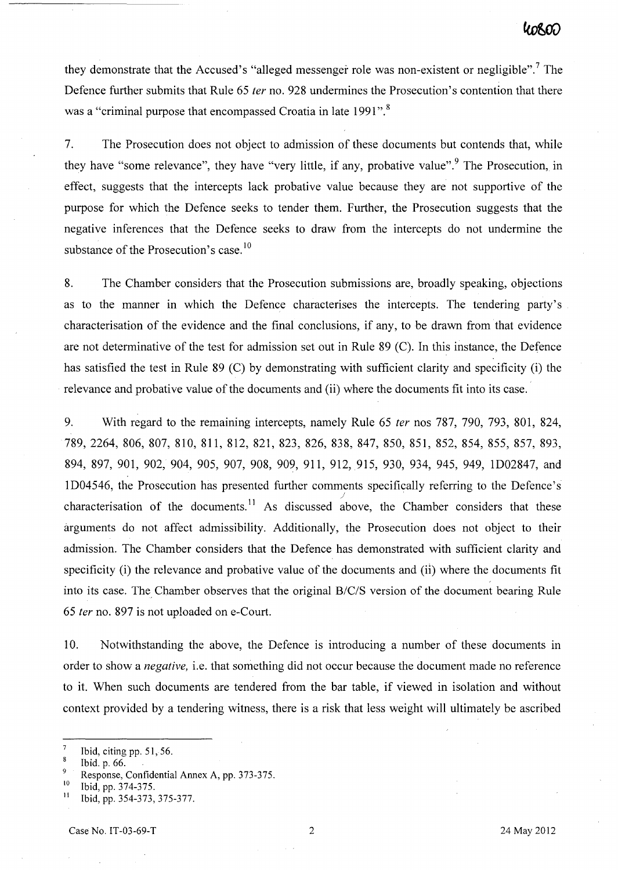they demonstrate that the Accused's "alleged messenger role was non-existent or negligible".<sup>7</sup> The Defence further submits that Rule 65 *ter* no. 928 undermines the Prosecution's contention that there was a "criminal purpose that encompassed Croatia in late 1991".<sup>8</sup>

7. The Prosecution does not object to admission of these documents but contends that, while they have "some relevance", they have "very little, if any, probative value". <sup>9</sup> The Prosecution, in effect, suggests that the intercepts lack probative value because they are not supportive of the purpose for which the Defence seeks to tender them. Further, the Prosecution suggests that the negative inferences that the Defence seeks to draw from the intercepts do not undermine the substance of the Prosecution's case.<sup>10</sup>

8. The Chamber considers that the Prosecution submissions are, broadly speaking, objections as to the manner in which the Defence characterises the intercepts. The tendering party's characterisation of the evidence and the final conclusions, if any, to be drawn from that evidence are not determinative of the test for admission set out in Rule 89 (C). In this instance, the Defence has satisfied the test in Rule 89 (C) by demonstrating with sufficient clarity and specificity (i) the relevance and probative value of the documents and (ii) where the documents fit into its case ..

9. With regard to the remaining intercepts, namely Rule 65 *ter* nos 787, 790, 793, 801, 824, 789, 2264, 806, 807, 810, 811, 812, 821, 823, 826, 838, 847, 850, 851, 852, 854, 855, 857, 893, 894, 897, 901, 902, 904, 905, 907, 908, 909, 911, 912,915, 930, 934, 945, 949, ID02847, and 1D04546, the Prosecution has presented further comments specifically referring to the Defence's characterisation of the documents.<sup>11</sup> As discussed above, the Chamber considers that these arguments do not affect admissibility. Additionally, the Prosecution does not object to their admission. The Chamber considers that the Defence has demonstrated with sufficient clarity and specificity (i) the relevance and probative value of the documents and (ii) where the documents fit into its case. The Chamber observes that the original *B/C/S* version of the document bearing Rule *65 ter* no. 897 is not uploaded on e-Court.

10. Notwithstanding the above, the Defence is introducing a number of these documents in order to show a *negative,* i.e. that something did not occur because the document made no reference to it. When such documents are tendered from the bar table, if viewed in isolation and without context provided by a tendering witness, there is a risk that less weight will ultimately be ascribed

 $\overline{7}$ Ibid, citing pp. 51,56.

<sup>8</sup> Ibid. p. 66.

<sup>&</sup>lt;sup>9</sup> Response, Confidential Annex A, pp. 373-375.

 $\frac{10}{11}$  Ibid, pp. 374-375.

Ibid, pp. 354-373, 375-377.